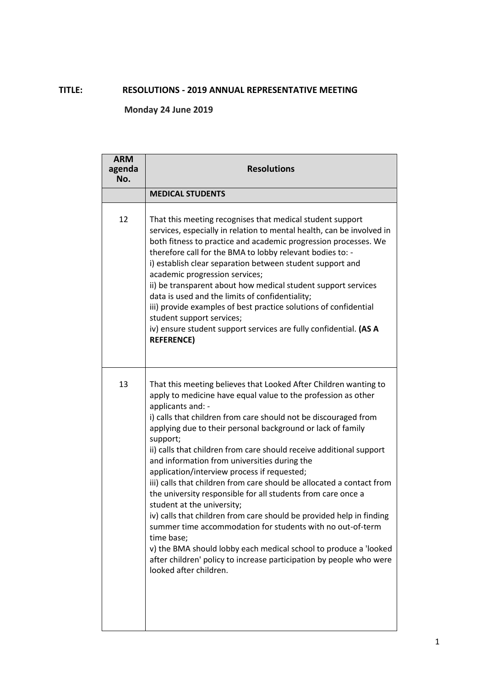## **TITLE: RESOLUTIONS - 2019 ANNUAL REPRESENTATIVE MEETING**

**Monday 24 June 2019**

| <b>ARM</b><br>agenda<br>No. | <b>Resolutions</b>                                                                                                                                                                                                                                                                                                                                                                                                                                                                                                                                                                                                                                                                                                                                                                                                                                                                                                                                                         |
|-----------------------------|----------------------------------------------------------------------------------------------------------------------------------------------------------------------------------------------------------------------------------------------------------------------------------------------------------------------------------------------------------------------------------------------------------------------------------------------------------------------------------------------------------------------------------------------------------------------------------------------------------------------------------------------------------------------------------------------------------------------------------------------------------------------------------------------------------------------------------------------------------------------------------------------------------------------------------------------------------------------------|
|                             | <b>MEDICAL STUDENTS</b>                                                                                                                                                                                                                                                                                                                                                                                                                                                                                                                                                                                                                                                                                                                                                                                                                                                                                                                                                    |
| 12                          | That this meeting recognises that medical student support<br>services, especially in relation to mental health, can be involved in<br>both fitness to practice and academic progression processes. We<br>therefore call for the BMA to lobby relevant bodies to: -<br>i) establish clear separation between student support and<br>academic progression services;<br>ii) be transparent about how medical student support services<br>data is used and the limits of confidentiality;<br>iii) provide examples of best practice solutions of confidential<br>student support services;<br>iv) ensure student support services are fully confidential. (AS A<br><b>REFERENCE)</b>                                                                                                                                                                                                                                                                                           |
| 13                          | That this meeting believes that Looked After Children wanting to<br>apply to medicine have equal value to the profession as other<br>applicants and: -<br>i) calls that children from care should not be discouraged from<br>applying due to their personal background or lack of family<br>support;<br>ii) calls that children from care should receive additional support<br>and information from universities during the<br>application/interview process if requested;<br>iii) calls that children from care should be allocated a contact from<br>the university responsible for all students from care once a<br>student at the university;<br>iv) calls that children from care should be provided help in finding<br>summer time accommodation for students with no out-of-term<br>time base;<br>v) the BMA should lobby each medical school to produce a 'looked<br>after children' policy to increase participation by people who were<br>looked after children. |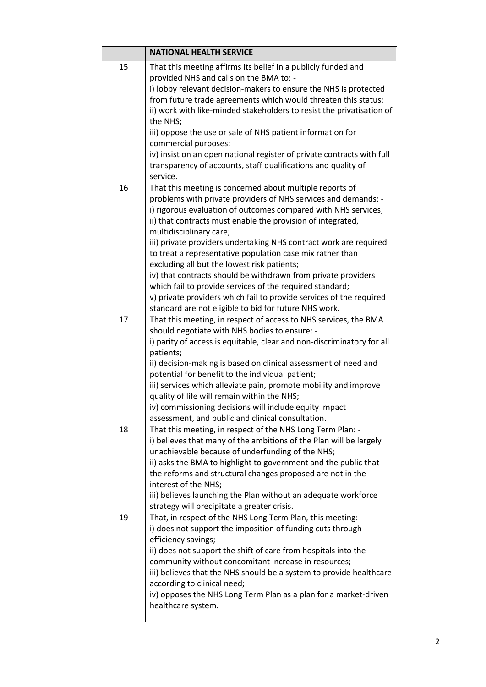|    | <b>NATIONAL HEALTH SERVICE</b>                                                                                         |
|----|------------------------------------------------------------------------------------------------------------------------|
| 15 | That this meeting affirms its belief in a publicly funded and                                                          |
|    | provided NHS and calls on the BMA to: -                                                                                |
|    | i) lobby relevant decision-makers to ensure the NHS is protected                                                       |
|    | from future trade agreements which would threaten this status;                                                         |
|    | ii) work with like-minded stakeholders to resist the privatisation of                                                  |
|    | the NHS;                                                                                                               |
|    | iii) oppose the use or sale of NHS patient information for                                                             |
|    | commercial purposes;                                                                                                   |
|    | iv) insist on an open national register of private contracts with full                                                 |
|    | transparency of accounts, staff qualifications and quality of                                                          |
|    | service.                                                                                                               |
| 16 | That this meeting is concerned about multiple reports of                                                               |
|    | problems with private providers of NHS services and demands: -                                                         |
|    | i) rigorous evaluation of outcomes compared with NHS services;                                                         |
|    | ii) that contracts must enable the provision of integrated,                                                            |
|    | multidisciplinary care;<br>iii) private providers undertaking NHS contract work are required                           |
|    | to treat a representative population case mix rather than                                                              |
|    | excluding all but the lowest risk patients;                                                                            |
|    | iv) that contracts should be withdrawn from private providers                                                          |
|    | which fail to provide services of the required standard;                                                               |
|    | v) private providers which fail to provide services of the required                                                    |
|    | standard are not eligible to bid for future NHS work.                                                                  |
| 17 | That this meeting, in respect of access to NHS services, the BMA                                                       |
|    | should negotiate with NHS bodies to ensure: -                                                                          |
|    | i) parity of access is equitable, clear and non-discriminatory for all                                                 |
|    | patients;                                                                                                              |
|    | ii) decision-making is based on clinical assessment of need and                                                        |
|    | potential for benefit to the individual patient;                                                                       |
|    | iii) services which alleviate pain, promote mobility and improve                                                       |
|    | quality of life will remain within the NHS;                                                                            |
|    | iv) commissioning decisions will include equity impact                                                                 |
|    | assessment, and public and clinical consultation.                                                                      |
| 18 | That this meeting, in respect of the NHS Long Term Plan: -                                                             |
|    | i) believes that many of the ambitions of the Plan will be largely<br>unachievable because of underfunding of the NHS; |
|    | ii) asks the BMA to highlight to government and the public that                                                        |
|    | the reforms and structural changes proposed are not in the                                                             |
|    | interest of the NHS;                                                                                                   |
|    | iii) believes launching the Plan without an adequate workforce                                                         |
|    | strategy will precipitate a greater crisis.                                                                            |
| 19 | That, in respect of the NHS Long Term Plan, this meeting: -                                                            |
|    | i) does not support the imposition of funding cuts through                                                             |
|    | efficiency savings;                                                                                                    |
|    | ii) does not support the shift of care from hospitals into the                                                         |
|    | community without concomitant increase in resources;                                                                   |
|    | iii) believes that the NHS should be a system to provide healthcare                                                    |
|    | according to clinical need;                                                                                            |
|    | iv) opposes the NHS Long Term Plan as a plan for a market-driven                                                       |
|    | healthcare system.                                                                                                     |
|    |                                                                                                                        |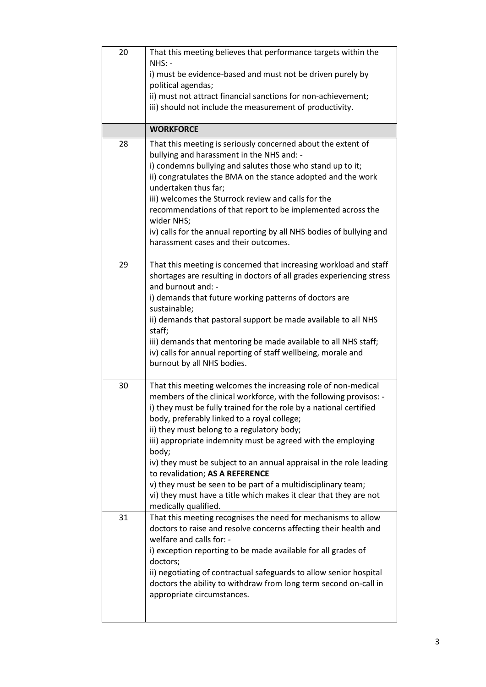| 20 | That this meeting believes that performance targets within the<br>$NHS: -$                                                              |
|----|-----------------------------------------------------------------------------------------------------------------------------------------|
|    | i) must be evidence-based and must not be driven purely by                                                                              |
|    | political agendas;<br>ii) must not attract financial sanctions for non-achievement;                                                     |
|    | iii) should not include the measurement of productivity.                                                                                |
|    | <b>WORKFORCE</b>                                                                                                                        |
| 28 | That this meeting is seriously concerned about the extent of<br>bullying and harassment in the NHS and: -                               |
|    | i) condemns bullying and salutes those who stand up to it;                                                                              |
|    | ii) congratulates the BMA on the stance adopted and the work<br>undertaken thus far;                                                    |
|    | iii) welcomes the Sturrock review and calls for the                                                                                     |
|    | recommendations of that report to be implemented across the<br>wider NHS;                                                               |
|    | iv) calls for the annual reporting by all NHS bodies of bullying and<br>harassment cases and their outcomes.                            |
|    |                                                                                                                                         |
| 29 | That this meeting is concerned that increasing workload and staff                                                                       |
|    | shortages are resulting in doctors of all grades experiencing stress<br>and burnout and: -                                              |
|    | i) demands that future working patterns of doctors are                                                                                  |
|    | sustainable;                                                                                                                            |
|    | ii) demands that pastoral support be made available to all NHS<br>staff;                                                                |
|    | iii) demands that mentoring be made available to all NHS staff;                                                                         |
|    | iv) calls for annual reporting of staff wellbeing, morale and<br>burnout by all NHS bodies.                                             |
|    |                                                                                                                                         |
| 30 | That this meeting welcomes the increasing role of non-medical                                                                           |
|    | members of the clinical workforce, with the following provisos: -<br>i) they must be fully trained for the role by a national certified |
|    | body, preferably linked to a royal college;                                                                                             |
|    | ii) they must belong to a regulatory body;<br>iii) appropriate indemnity must be agreed with the employing                              |
|    | body;                                                                                                                                   |
|    | iv) they must be subject to an annual appraisal in the role leading<br>to revalidation; AS A REFERENCE                                  |
|    | v) they must be seen to be part of a multidisciplinary team;                                                                            |
|    | vi) they must have a title which makes it clear that they are not                                                                       |
| 31 | medically qualified.<br>That this meeting recognises the need for mechanisms to allow                                                   |
|    | doctors to raise and resolve concerns affecting their health and                                                                        |
|    | welfare and calls for: -                                                                                                                |
|    | i) exception reporting to be made available for all grades of<br>doctors;                                                               |
|    | ii) negotiating of contractual safeguards to allow senior hospital                                                                      |
|    | doctors the ability to withdraw from long term second on-call in                                                                        |
|    | appropriate circumstances.                                                                                                              |
|    |                                                                                                                                         |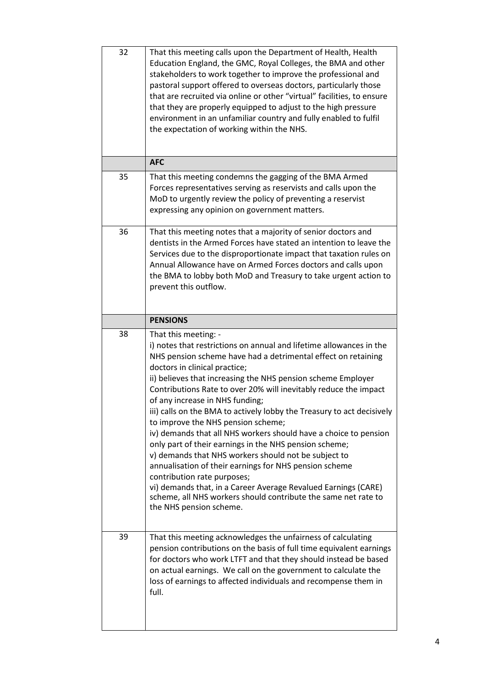| 32 | That this meeting calls upon the Department of Health, Health<br>Education England, the GMC, Royal Colleges, the BMA and other<br>stakeholders to work together to improve the professional and<br>pastoral support offered to overseas doctors, particularly those<br>that are recruited via online or other "virtual" facilities, to ensure<br>that they are properly equipped to adjust to the high pressure<br>environment in an unfamiliar country and fully enabled to fulfil<br>the expectation of working within the NHS.                                                                                                                                                                                                    |
|----|--------------------------------------------------------------------------------------------------------------------------------------------------------------------------------------------------------------------------------------------------------------------------------------------------------------------------------------------------------------------------------------------------------------------------------------------------------------------------------------------------------------------------------------------------------------------------------------------------------------------------------------------------------------------------------------------------------------------------------------|
|    | <b>AFC</b>                                                                                                                                                                                                                                                                                                                                                                                                                                                                                                                                                                                                                                                                                                                           |
| 35 | That this meeting condemns the gagging of the BMA Armed<br>Forces representatives serving as reservists and calls upon the<br>MoD to urgently review the policy of preventing a reservist<br>expressing any opinion on government matters.                                                                                                                                                                                                                                                                                                                                                                                                                                                                                           |
| 36 | That this meeting notes that a majority of senior doctors and<br>dentists in the Armed Forces have stated an intention to leave the<br>Services due to the disproportionate impact that taxation rules on<br>Annual Allowance have on Armed Forces doctors and calls upon<br>the BMA to lobby both MoD and Treasury to take urgent action to<br>prevent this outflow.                                                                                                                                                                                                                                                                                                                                                                |
|    | <b>PENSIONS</b>                                                                                                                                                                                                                                                                                                                                                                                                                                                                                                                                                                                                                                                                                                                      |
| 38 | That this meeting: -<br>i) notes that restrictions on annual and lifetime allowances in the<br>NHS pension scheme have had a detrimental effect on retaining<br>doctors in clinical practice;<br>ii) believes that increasing the NHS pension scheme Employer<br>Contributions Rate to over 20% will inevitably reduce the impact<br>of any increase in NHS funding;<br>iii) calls on the BMA to actively lobby the Treasury to act decisively<br>to improve the NHS pension scheme;<br>iv) demands that all NHS workers should have a choice to pension<br>only part of their earnings in the NHS pension scheme;<br>v) demands that NHS workers should not be subject to<br>annualisation of their earnings for NHS pension scheme |
|    | contribution rate purposes;<br>vi) demands that, in a Career Average Revalued Earnings (CARE)<br>scheme, all NHS workers should contribute the same net rate to<br>the NHS pension scheme.                                                                                                                                                                                                                                                                                                                                                                                                                                                                                                                                           |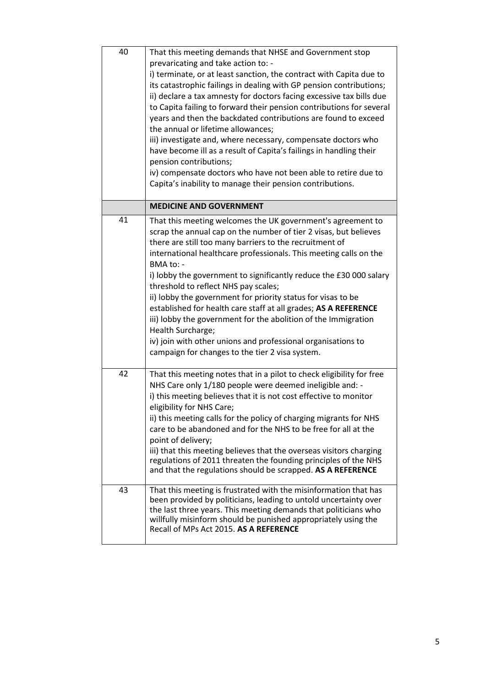| 40 | That this meeting demands that NHSE and Government stop<br>prevaricating and take action to: -<br>i) terminate, or at least sanction, the contract with Capita due to<br>its catastrophic failings in dealing with GP pension contributions;<br>ii) declare a tax amnesty for doctors facing excessive tax bills due<br>to Capita failing to forward their pension contributions for several<br>years and then the backdated contributions are found to exceed<br>the annual or lifetime allowances;<br>iii) investigate and, where necessary, compensate doctors who<br>have become ill as a result of Capita's failings in handling their<br>pension contributions;<br>iv) compensate doctors who have not been able to retire due to<br>Capita's inability to manage their pension contributions. |
|----|------------------------------------------------------------------------------------------------------------------------------------------------------------------------------------------------------------------------------------------------------------------------------------------------------------------------------------------------------------------------------------------------------------------------------------------------------------------------------------------------------------------------------------------------------------------------------------------------------------------------------------------------------------------------------------------------------------------------------------------------------------------------------------------------------|
|    | <b>MEDICINE AND GOVERNMENT</b>                                                                                                                                                                                                                                                                                                                                                                                                                                                                                                                                                                                                                                                                                                                                                                       |
| 41 | That this meeting welcomes the UK government's agreement to<br>scrap the annual cap on the number of tier 2 visas, but believes<br>there are still too many barriers to the recruitment of<br>international healthcare professionals. This meeting calls on the<br>BMA to: -<br>i) lobby the government to significantly reduce the £30 000 salary<br>threshold to reflect NHS pay scales;<br>ii) lobby the government for priority status for visas to be<br>established for health care staff at all grades; AS A REFERENCE<br>iii) lobby the government for the abolition of the Immigration<br>Health Surcharge;<br>iv) join with other unions and professional organisations to<br>campaign for changes to the tier 2 visa system.                                                              |
| 42 | That this meeting notes that in a pilot to check eligibility for free<br>NHS Care only 1/180 people were deemed ineligible and: -<br>i) this meeting believes that it is not cost effective to monitor<br>eligibility for NHS Care;<br>ii) this meeting calls for the policy of charging migrants for NHS<br>care to be abandoned and for the NHS to be free for all at the<br>point of delivery;<br>iii) that this meeting believes that the overseas visitors charging<br>regulations of 2011 threaten the founding principles of the NHS<br>and that the regulations should be scrapped. AS A REFERENCE                                                                                                                                                                                           |
| 43 | That this meeting is frustrated with the misinformation that has<br>been provided by politicians, leading to untold uncertainty over<br>the last three years. This meeting demands that politicians who<br>willfully misinform should be punished appropriately using the<br>Recall of MPs Act 2015. AS A REFERENCE                                                                                                                                                                                                                                                                                                                                                                                                                                                                                  |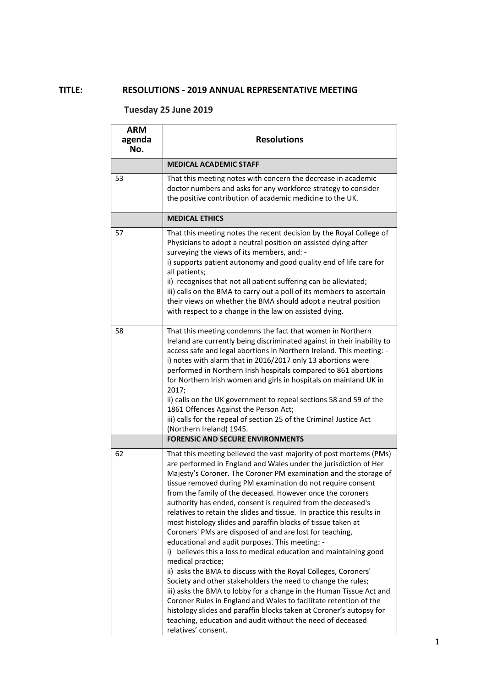## **TITLE: RESOLUTIONS - 2019 ANNUAL REPRESENTATIVE MEETING**

## **Tuesday 25 June 2019**

| <b>ARM</b><br>agenda<br>No. | <b>Resolutions</b>                                                                                                                                                                                                                                                                                                                                                                                                                                                                                                                                                                                                                                                                                                                                                                                                                                                                                                                                                                                                                                                                                                                                                                                   |
|-----------------------------|------------------------------------------------------------------------------------------------------------------------------------------------------------------------------------------------------------------------------------------------------------------------------------------------------------------------------------------------------------------------------------------------------------------------------------------------------------------------------------------------------------------------------------------------------------------------------------------------------------------------------------------------------------------------------------------------------------------------------------------------------------------------------------------------------------------------------------------------------------------------------------------------------------------------------------------------------------------------------------------------------------------------------------------------------------------------------------------------------------------------------------------------------------------------------------------------------|
|                             | <b>MEDICAL ACADEMIC STAFF</b>                                                                                                                                                                                                                                                                                                                                                                                                                                                                                                                                                                                                                                                                                                                                                                                                                                                                                                                                                                                                                                                                                                                                                                        |
| 53                          | That this meeting notes with concern the decrease in academic<br>doctor numbers and asks for any workforce strategy to consider<br>the positive contribution of academic medicine to the UK.                                                                                                                                                                                                                                                                                                                                                                                                                                                                                                                                                                                                                                                                                                                                                                                                                                                                                                                                                                                                         |
|                             | <b>MEDICAL ETHICS</b>                                                                                                                                                                                                                                                                                                                                                                                                                                                                                                                                                                                                                                                                                                                                                                                                                                                                                                                                                                                                                                                                                                                                                                                |
| 57                          | That this meeting notes the recent decision by the Royal College of<br>Physicians to adopt a neutral position on assisted dying after<br>surveying the views of its members, and: -<br>i) supports patient autonomy and good quality end of life care for<br>all patients;<br>ii) recognises that not all patient suffering can be alleviated;<br>iii) calls on the BMA to carry out a poll of its members to ascertain<br>their views on whether the BMA should adopt a neutral position<br>with respect to a change in the law on assisted dying.                                                                                                                                                                                                                                                                                                                                                                                                                                                                                                                                                                                                                                                  |
| 58                          | That this meeting condemns the fact that women in Northern<br>Ireland are currently being discriminated against in their inability to<br>access safe and legal abortions in Northern Ireland. This meeting: -<br>i) notes with alarm that in 2016/2017 only 13 abortions were<br>performed in Northern Irish hospitals compared to 861 abortions<br>for Northern Irish women and girls in hospitals on mainland UK in<br>2017;<br>ii) calls on the UK government to repeal sections 58 and 59 of the<br>1861 Offences Against the Person Act;<br>iii) calls for the repeal of section 25 of the Criminal Justice Act<br>(Northern Ireland) 1945.                                                                                                                                                                                                                                                                                                                                                                                                                                                                                                                                                     |
|                             | <b>FORENSIC AND SECURE ENVIRONMENTS</b>                                                                                                                                                                                                                                                                                                                                                                                                                                                                                                                                                                                                                                                                                                                                                                                                                                                                                                                                                                                                                                                                                                                                                              |
| 62                          | That this meeting believed the vast majority of post mortems (PMs)<br>are performed in England and Wales under the jurisdiction of Her<br>Majesty's Coroner. The Coroner PM examination and the storage of<br>tissue removed during PM examination do not require consent<br>from the family of the deceased. However once the coroners<br>authority has ended, consent is required from the deceased's<br>relatives to retain the slides and tissue. In practice this results in<br>most histology slides and paraffin blocks of tissue taken at<br>Coroners' PMs are disposed of and are lost for teaching,<br>educational and audit purposes. This meeting: -<br>i) believes this a loss to medical education and maintaining good<br>medical practice;<br>ii) asks the BMA to discuss with the Royal Colleges, Coroners'<br>Society and other stakeholders the need to change the rules;<br>iii) asks the BMA to lobby for a change in the Human Tissue Act and<br>Coroner Rules in England and Wales to facilitate retention of the<br>histology slides and paraffin blocks taken at Coroner's autopsy for<br>teaching, education and audit without the need of deceased<br>relatives' consent. |

1